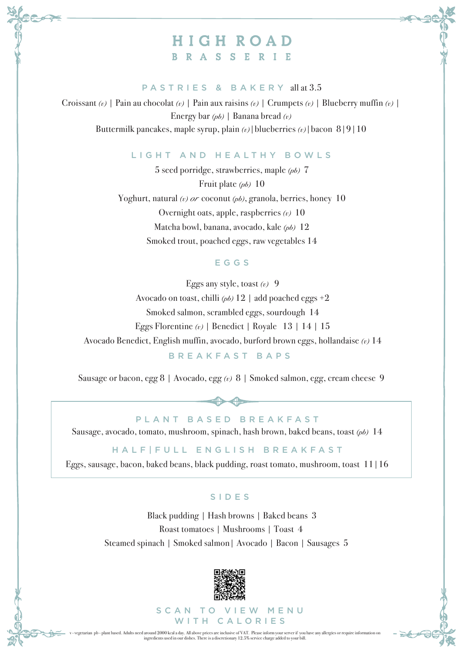# HIGH ROAD **BRASSERIE**

### PASTRIES & BAKERY all at 3.5

Croissant *(v)* | Pain au chocolat *(v)* | Pain aux raisins *(v)* | Crumpets *(v)* | Blueberry muffin *(v)* | Energy bar *(pb)* | Banana bread *(v)* Buttermilk pancakes, maple syrup, plain *(v)*|blueberries *(v)*|bacon 8|9|10

### LIGHT AND HEALTHY BOWLS

5 seed porridge, strawberries, maple *(pb)* 7 Fruit plate *(pb)* 10 Yoghurt, natural *(v) or* coconut *(pb)*, granola, berries, honey 10 Overnight oats, apple, raspberries *(v)* 10 Matcha bowl, banana, avocado, kale *(pb)* 12 Smoked trout, poached eggs, raw vegetables 14

### **EGGS**

Eggs any style, toast *(v)* 9 Avocado on toast, chilli *(pb)* 12 | add poached eggs +2 Smoked salmon, scrambled eggs, sourdough 14 Eggs Florentine *(v)* | Benedict | Royale 13 | 14 | 15 Avocado Benedict, English muffin, avocado, burford brown eggs, hollandaise *(v)* 14 BREAKFAST BAPS

Sausage or bacon, egg 8 | Avocado, egg *(v)* 8 | Smoked salmon, egg, cream cheese 9

PLANT BASED BREAKFAST Sausage, avocado, tomato, mushroom, spinach, hash brown, baked beans, toast *(pb)* 14

HALF|FULL ENGLISH BREAKFAST

Eggs, sausage, bacon, baked beans, black pudding, roast tomato, mushroom, toast 11|16

#### SIDES

Roast tomatoes | Mushrooms | Toast 4 Black pudding | Hash browns | Baked beans 3 Steamed spinach | Smoked salmon| Avocado | Bacon | Sausages 5



SCAN TO VIEW MENU WITH CALORIES

v - vegetarian pb - plant based. Adults need around 2000 kcal a day. All above prices are inclusive of VAT. Please inform your server if you have any allergies or require information on ingredients used in our dishes. There is a discretionary 12.5% service charge added to your bill.